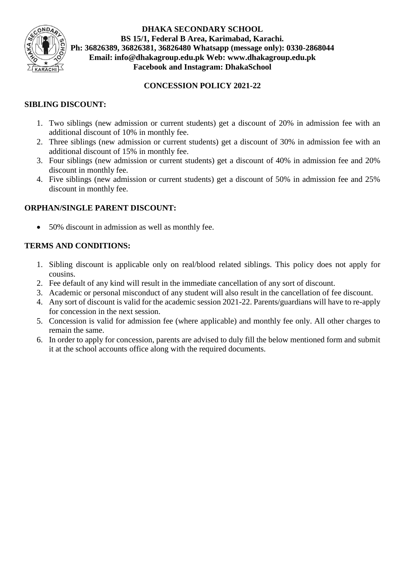

**DHAKA SECONDARY SCHOOL BS 15/1, Federal B Area, Karimabad, Karachi. Ph: 36826389, 36826381, 36826480 Whatsapp (message only): 0330-2868044 Email: info@dhakagroup.edu.pk Web: [www.dhakagroup.edu.pk](http://www.dhakagroup.edu.pk/) Facebook and Instagram: DhakaSchool**

### **CONCESSION POLICY 2021-22**

# **SIBLING DISCOUNT:**

- 1. Two siblings (new admission or current students) get a discount of 20% in admission fee with an additional discount of 10% in monthly fee.
- 2. Three siblings (new admission or current students) get a discount of 30% in admission fee with an additional discount of 15% in monthly fee.
- 3. Four siblings (new admission or current students) get a discount of 40% in admission fee and 20% discount in monthly fee.
- 4. Five siblings (new admission or current students) get a discount of 50% in admission fee and 25% discount in monthly fee.

# **ORPHAN/SINGLE PARENT DISCOUNT:**

• 50% discount in admission as well as monthly fee.

### **TERMS AND CONDITIONS:**

- 1. Sibling discount is applicable only on real/blood related siblings. This policy does not apply for cousins.
- 2. Fee default of any kind will result in the immediate cancellation of any sort of discount.
- 3. Academic or personal misconduct of any student will also result in the cancellation of fee discount.
- 4. Any sort of discount is valid for the academic session 2021-22. Parents/guardians will have to re-apply for concession in the next session.
- 5. Concession is valid for admission fee (where applicable) and monthly fee only. All other charges to remain the same.
- 6. In order to apply for concession, parents are advised to duly fill the below mentioned form and submit it at the school accounts office along with the required documents.